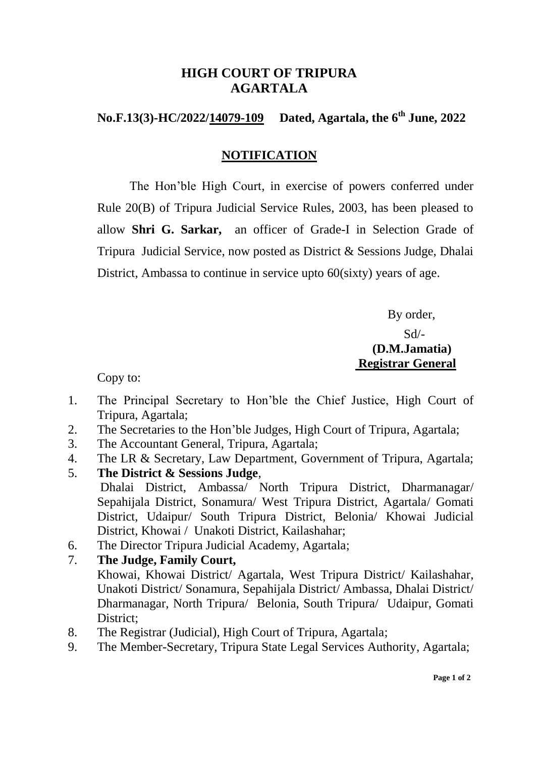# **HIGH COURT OF TRIPURA AGARTALA**

#### **No.F.13(3)-HC/2022/14079-109** Dated, Agartala, the 6<sup>th</sup> June, 2022

## **NOTIFICATION**

The Hon'ble High Court, in exercise of powers conferred under Rule 20(B) of Tripura Judicial Service Rules, 2003, has been pleased to allow **Shri G. Sarkar,** an officer of Grade-I in Selection Grade of Tripura Judicial Service, now posted as District & Sessions Judge, Dhalai District, Ambassa to continue in service upto 60(sixty) years of age.

> By order, Sd/- **(D.M.Jamatia) Registrar General**

Copy to:

- 1. The Principal Secretary to Hon'ble the Chief Justice, High Court of Tripura, Agartala;
- 2. The Secretaries to the Hon'ble Judges, High Court of Tripura, Agartala;
- 3. The Accountant General, Tripura, Agartala;
- 4. The LR & Secretary, Law Department, Government of Tripura, Agartala;
- 5. **The District & Sessions Judge**, Dhalai District, Ambassa/ North Tripura District, Dharmanagar/ Sepahijala District, Sonamura/ West Tripura District, Agartala/ Gomati District, Udaipur/ South Tripura District, Belonia/ Khowai Judicial District, Khowai / Unakoti District, Kailashahar;
- 6. The Director Tripura Judicial Academy, Agartala;

## 7. **The Judge, Family Court,**

- Khowai, Khowai District/ Agartala, West Tripura District/ Kailashahar, Unakoti District/ Sonamura, Sepahijala District/ Ambassa, Dhalai District/ Dharmanagar, North Tripura/ Belonia, South Tripura/ Udaipur, Gomati District;
- 8. The Registrar (Judicial), High Court of Tripura, Agartala;
- 9. The Member-Secretary, Tripura State Legal Services Authority, Agartala;